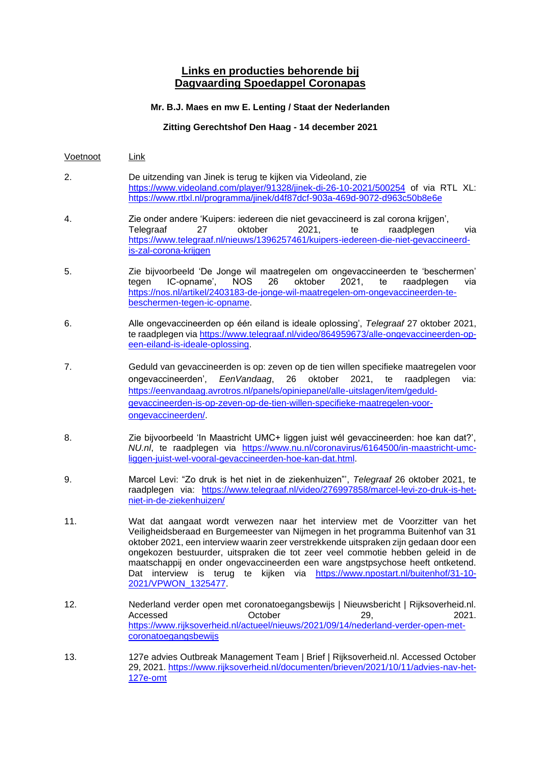## **Links en producties behorende bij Dagvaarding Spoedappel Coronapas**

## **Mr. B.J. Maes en mw E. Lenting / Staat der Nederlanden**

## **Zitting Gerechtshof Den Haag - 14 december 2021**

- Voetnoot Link
- 2. De uitzending van Jinek is terug te kijken via Videoland, zie <https://www.videoland.com/player/91328/jinek-di-26-10-2021/500254> of via RTL XL: <https://www.rtlxl.nl/programma/jinek/d4f87dcf-903a-469d-9072-d963c50b8e6e>
- 4. Zie onder andere 'Kuipers: iedereen die niet gevaccineerd is zal corona krijgen', Telegraaf 27 oktober 2021, te raadplegen via [https://www.telegraaf.nl/nieuws/1396257461/kuipers-iedereen-die-niet-gevaccineerd](https://www.telegraaf.nl/nieuws/1396257461/kuipers-iedereen-die-niet-gevaccineerd-is-zal-corona-krijgen)[is-zal-corona-krijgen](https://www.telegraaf.nl/nieuws/1396257461/kuipers-iedereen-die-niet-gevaccineerd-is-zal-corona-krijgen)
- 5. Zie bijvoorbeeld 'De Jonge wil maatregelen om ongevaccineerden te 'beschermen' tegen IC-opname', NOS 26 oktober 2021, te raadplegen via [https://nos.nl/artikel/2403183-de-jonge-wil-maatregelen-om-ongevaccineerden-te](https://nos.nl/artikel/2403183-de-jonge-wil-maatregelen-om-ongevaccineerden-te-beschermen-tegen-ic-opname)[beschermen-tegen-ic-opname.](https://nos.nl/artikel/2403183-de-jonge-wil-maatregelen-om-ongevaccineerden-te-beschermen-tegen-ic-opname)
- 6. Alle ongevaccineerden op één eiland is ideale oplossing', *Telegraaf* 27 oktober 2021, te raadplegen via [https://www.telegraaf.nl/video/864959673/alle-ongevaccineerden-op](https://www.telegraaf.nl/video/864959673/alle-ongevaccineerden-op-een-eiland-is-ideale-oplossing)[een-eiland-is-ideale-oplossing.](https://www.telegraaf.nl/video/864959673/alle-ongevaccineerden-op-een-eiland-is-ideale-oplossing)
- 7. Geduld van gevaccineerden is op: zeven op de tien willen specifieke maatregelen voor ongevaccineerden', *EenVandaag*, 26 oktober 2021, te raadplegen via: [https://eenvandaag.avrotros.nl/panels/opiniepanel/alle-uitslagen/item/geduld](https://eenvandaag.avrotros.nl/panels/opiniepanel/alle-uitslagen/item/geduld-gevaccineerden-is-op-zeven-op-de-tien-willen-specifieke-maatregelen-voor-ongevaccineerden/)[gevaccineerden-is-op-zeven-op-de-tien-willen-specifieke-maatregelen-voor](https://eenvandaag.avrotros.nl/panels/opiniepanel/alle-uitslagen/item/geduld-gevaccineerden-is-op-zeven-op-de-tien-willen-specifieke-maatregelen-voor-ongevaccineerden/)[ongevaccineerden/.](https://eenvandaag.avrotros.nl/panels/opiniepanel/alle-uitslagen/item/geduld-gevaccineerden-is-op-zeven-op-de-tien-willen-specifieke-maatregelen-voor-ongevaccineerden/)
- 8. Zie bijvoorbeeld 'In Maastricht UMC+ liggen juist wél gevaccineerden: hoe kan dat?', *NU.nl*, te raadplegen via [https://www.nu.nl/coronavirus/6164500/in-maastricht-umc](https://www.nu.nl/coronavirus/6164500/in-maastricht-umc-liggen-juist-wel-vooral-gevaccineerden-hoe-kan-dat.html)[liggen-juist-wel-vooral-gevaccineerden-hoe-kan-dat.html.](https://www.nu.nl/coronavirus/6164500/in-maastricht-umc-liggen-juist-wel-vooral-gevaccineerden-hoe-kan-dat.html)
- 9. Marcel Levi: "Zo druk is het niet in de ziekenhuizen"', *Telegraaf* 26 oktober 2021, te raadplegen via: [https://www.telegraaf.nl/video/276997858/marcel-levi-zo-druk-is-het](https://www.telegraaf.nl/video/276997858/marcel-levi-zo-druk-is-het-niet-in-de-ziekenhuizen/)[niet-in-de-ziekenhuizen/](https://www.telegraaf.nl/video/276997858/marcel-levi-zo-druk-is-het-niet-in-de-ziekenhuizen/)
- 11. Wat dat aangaat wordt verwezen naar het interview met de Voorzitter van het Veiligheidsberaad en Burgemeester van Nijmegen in het programma Buitenhof van 31 oktober 2021, een interview waarin zeer verstrekkende uitspraken zijn gedaan door een ongekozen bestuurder, uitspraken die tot zeer veel commotie hebben geleid in de maatschappij en onder ongevaccineerden een ware angstpsychose heeft ontketend. Dat interview is terug te kijken via [https://www.npostart.nl/buitenhof/31-10-](https://www.npostart.nl/buitenhof/31-10-2021/VPWON_1325477) [2021/VPWON\\_1325477.](https://www.npostart.nl/buitenhof/31-10-2021/VPWON_1325477)
- 12. Nederland verder open met coronatoegangsbewijs | Nieuwsbericht | Rijksoverheid.nl. Accessed October 29, 2021. [https://www.rijksoverheid.nl/actueel/nieuws/2021/09/14/nederland-verder-open-met](https://www.rijksoverheid.nl/actueel/nieuws/2021/09/14/nederland-verder-open-met-coronatoegangsbewijs)[coronatoegangsbewijs](https://www.rijksoverheid.nl/actueel/nieuws/2021/09/14/nederland-verder-open-met-coronatoegangsbewijs)
- 13. 127e advies Outbreak Management Team | Brief | Rijksoverheid.nl. Accessed October 29, 2021. [https://www.rijksoverheid.nl/documenten/brieven/2021/10/11/advies-nav-het-](https://www.rijksoverheid.nl/documenten/brieven/2021/10/11/advies-nav-het-127e-omt)[127e-omt](https://www.rijksoverheid.nl/documenten/brieven/2021/10/11/advies-nav-het-127e-omt)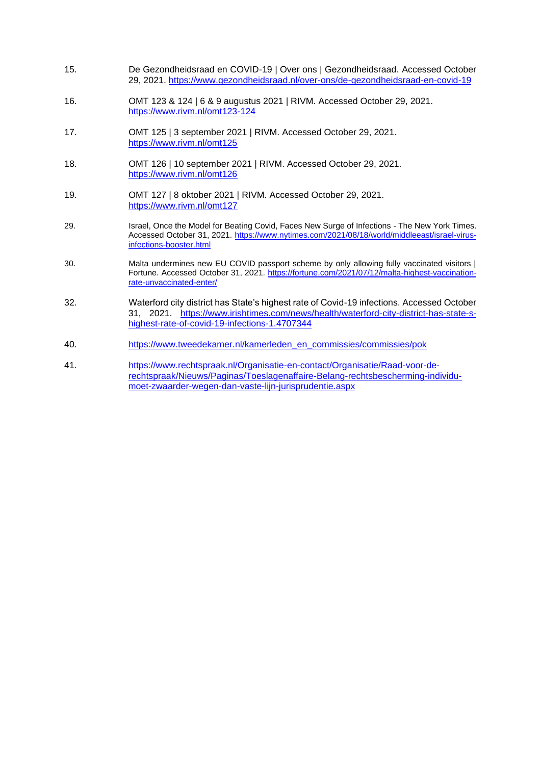- 15. De Gezondheidsraad en COVID-19 | Over ons | Gezondheidsraad. Accessed October 29, 2021.<https://www.gezondheidsraad.nl/over-ons/de-gezondheidsraad-en-covid-19>
- 16. OMT 123 & 124 | 6 & 9 augustus 2021 | RIVM. Accessed October 29, 2021. <https://www.rivm.nl/omt123-124>
- 17. OMT 125 | 3 september 2021 | RIVM. Accessed October 29, 2021. <https://www.rivm.nl/omt125>
- 18. OMT 126 | 10 september 2021 | RIVM. Accessed October 29, 2021. <https://www.rivm.nl/omt126>
- 19. OMT 127 | 8 oktober 2021 | RIVM. Accessed October 29, 2021. <https://www.rivm.nl/omt127>
- 29. Israel, Once the Model for Beating Covid, Faces New Surge of Infections The New York Times. Accessed October 31, 2021. [https://www.nytimes.com/2021/08/18/world/middleeast/israel-virus](https://www.nytimes.com/2021/08/18/world/middleeast/israel-virus-infections-booster.html)[infections-booster.html](https://www.nytimes.com/2021/08/18/world/middleeast/israel-virus-infections-booster.html)
- 30. Malta undermines new EU COVID passport scheme by only allowing fully vaccinated visitors | Fortune. Accessed October 31, 2021. [https://fortune.com/2021/07/12/malta-highest-vaccination](https://fortune.com/2021/07/12/malta-highest-vaccination-rate-unvaccinated-enter/)[rate-unvaccinated-enter/](https://fortune.com/2021/07/12/malta-highest-vaccination-rate-unvaccinated-enter/)
- 32. Waterford city district has State's highest rate of Covid-19 infections. Accessed October 31, 2021. [https://www.irishtimes.com/news/health/waterford-city-district-has-state-s](https://www.irishtimes.com/news/health/waterford-city-district-has-state-s-highest-rate-of-covid-19-infections-1.4707344)[highest-rate-of-covid-19-infections-1.4707344](https://www.irishtimes.com/news/health/waterford-city-district-has-state-s-highest-rate-of-covid-19-infections-1.4707344)
- 40. [https://www.tweedekamer.nl/kamerleden\\_en\\_commissies/commissies/pok](https://www.tweedekamer.nl/kamerleden_en_commissies/commissies/pok)
- 41. [https://www.rechtspraak.nl/Organisatie-en-contact/Organisatie/Raad-voor-de](https://www.rechtspraak.nl/Organisatie-en-contact/Organisatie/Raad-voor-de-rechtspraak/Nieuws/Paginas/Toeslagenaffaire-Belang-rechtsbescherming-individu-moet-zwaarder-wegen-dan-vaste-lijn-jurisprudentie.aspx)[rechtspraak/Nieuws/Paginas/Toeslagenaffaire-Belang-rechtsbescherming-individu](https://www.rechtspraak.nl/Organisatie-en-contact/Organisatie/Raad-voor-de-rechtspraak/Nieuws/Paginas/Toeslagenaffaire-Belang-rechtsbescherming-individu-moet-zwaarder-wegen-dan-vaste-lijn-jurisprudentie.aspx)[moet-zwaarder-wegen-dan-vaste-lijn-jurisprudentie.aspx](https://www.rechtspraak.nl/Organisatie-en-contact/Organisatie/Raad-voor-de-rechtspraak/Nieuws/Paginas/Toeslagenaffaire-Belang-rechtsbescherming-individu-moet-zwaarder-wegen-dan-vaste-lijn-jurisprudentie.aspx)